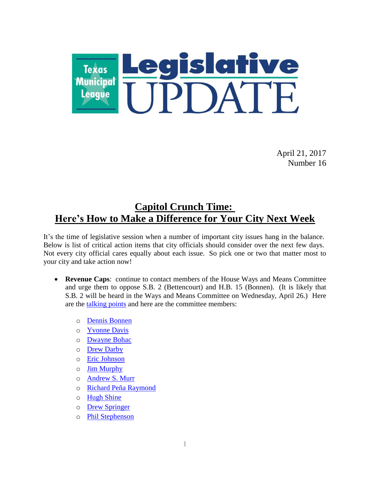

April 21, 2017 Number 16

### **Capitol Crunch Time: Here's How to Make a Difference for Your City Next Week**

It's the time of legislative session when a number of important city issues hang in the balance. Below is list of critical action items that city officials should consider over the next few days. Not every city official cares equally about each issue. So pick one or two that matter most to your city and take action now!

- **Revenue Caps**: continue to contact members of the House Ways and Means Committee and urge them to oppose S.B. 2 (Bettencourt) and H.B. 15 (Bonnen). (It is likely that S.B. 2 will be heard in the Ways and Means Committee on Wednesday, April 26.) Here are the [talking points](https://www.tml.org/p/SB2TestimonyGuidelines.pdf) and here are the committee members:
	- o [Dennis Bonnen](http://www.house.state.tx.us/members/member-page/?district=25)
	- o [Yvonne Davis](http://www.house.state.tx.us/members/member-page/?district=111)
	- o [Dwayne Bohac](http://www.house.state.tx.us/members/member-page/?district=138)
	- o [Drew Darby](http://www.house.state.tx.us/members/member-page/?district=72)
	- o [Eric Johnson](http://www.house.state.tx.us/members/member-page/?district=100)
	- o [Jim Murphy](http://www.house.state.tx.us/members/member-page/?district=133)
	- o [Andrew S. Murr](http://www.house.state.tx.us/members/member-page/?district=53)
	- o [Richard Peña Raymond](http://www.house.state.tx.us/members/member-page/?district=42)
	- o [Hugh Shine](http://www.house.state.tx.us/members/member-page/?district=55)
	- o [Drew Springer](http://www.house.state.tx.us/members/member-page/?district=68)
	- o [Phil Stephenson](http://www.house.state.tx.us/members/member-page/?district=85)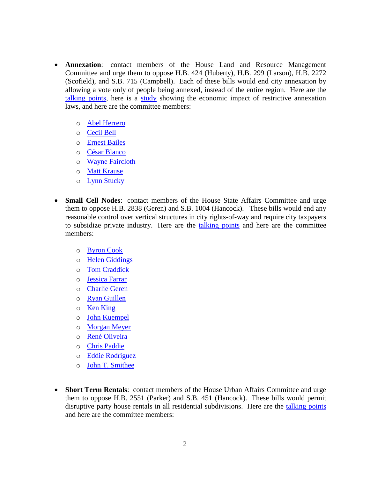- **Annexation**: contact members of the House Land and Resource Management Committee and urge them to oppose H.B. 424 (Huberty), H.B. 299 (Larson), H.B. 2272 (Scofield), and S.B. 715 (Campbell). Each of these bills would end city annexation by allowing a vote only of people being annexed, instead of the entire region. Here are the [talking points,](https://www.tml.org/p/AnnexationHouseSheet2017.pdf) here is a [study](https://www.tml.org/p/TML%20TXP%20Annexation%20DRAFT%20April%202016%201.1.pdf) showing the economic impact of restrictive annexation laws, and here are the committee members:
	- o [Abel Herrero](http://www.house.state.tx.us/members/member-page/?district=34)
	- o [Cecil Bell](http://www.house.state.tx.us/members/member-page/?district=3)
	- o [Ernest Bailes](http://www.house.state.tx.us/members/member-page/?district=18)
	- o [César Blanco](http://www.house.state.tx.us/members/member-page/?district=76)
	- o [Wayne Faircloth](http://www.house.state.tx.us/members/member-page/?district=23)
	- o [Matt Krause](http://www.house.state.tx.us/members/member-page/?district=93)
	- o [Lynn Stucky](http://www.house.state.tx.us/members/member-page/?district=64)
- **Small Cell Nodes**: contact members of the House State Affairs Committee and urge them to oppose H.B. 2838 (Geren) and S.B. 1004 (Hancock). These bills would end any reasonable control over vertical structures in city rights-of-way and require city taxpayers to subsidize private industry. Here are the [talking points](https://www.tml.org/p/TMLOppositionSB1004.pdf) and here are the committee members:
	- o [Byron Cook](http://www.house.state.tx.us/members/member-page/?district=8)
	- o [Helen Giddings](http://www.house.state.tx.us/members/member-page/?district=109)
	- o [Tom Craddick](http://www.house.state.tx.us/members/member-page/?district=82)
	- o [Jessica Farrar](http://www.house.state.tx.us/members/member-page/?district=148)
	- o [Charlie Geren](http://www.house.state.tx.us/members/member-page/?district=99)
	- o [Ryan Guillen](http://www.house.state.tx.us/members/member-page/?district=31)
	- o [Ken King](http://www.house.state.tx.us/members/member-page/?district=88)
	- o [John Kuempel](http://www.house.state.tx.us/members/member-page/?district=44)
	- o [Morgan Meyer](http://www.house.state.tx.us/members/member-page/?district=108)
	- o [René Oliveira](http://www.house.state.tx.us/members/member-page/?district=37)
	- o [Chris Paddie](http://www.house.state.tx.us/members/member-page/?district=9)
	- o [Eddie Rodriguez](http://www.house.state.tx.us/members/member-page/?district=51)
	- o [John T. Smithee](http://www.house.state.tx.us/members/member-page/?district=86)
- **Short Term Rentals**: contact members of the House Urban Affairs Committee and urge them to oppose H.B. 2551 (Parker) and S.B. 451 (Hancock). These bills would permit disruptive party house rentals in all residential subdivisions. Here are the [talking points](https://www.tml.org/p/Short%20Term%20Rental%20Preemption%20Talking%20Points.pdf) and here are the committee members: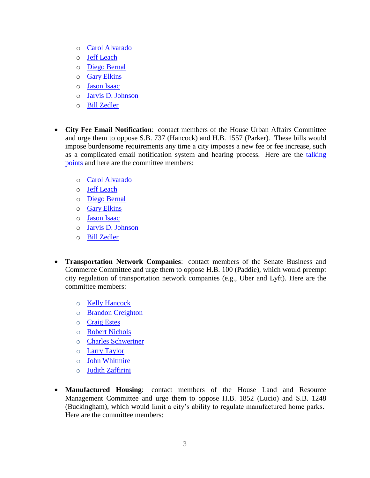- o [Carol Alvarado](http://www.house.state.tx.us/members/member-page/?district=145)
- o [Jeff Leach](http://www.house.state.tx.us/members/member-page/?district=67)
- o [Diego Bernal](http://www.house.state.tx.us/members/member-page/?district=123)
- o [Gary Elkins](http://www.house.state.tx.us/members/member-page/?district=135)
- o [Jason Isaac](http://www.house.state.tx.us/members/member-page/?district=45)
- o [Jarvis D. Johnson](http://www.house.state.tx.us/members/member-page/?district=139)
- o [Bill Zedler](http://www.house.state.tx.us/members/member-page/?district=96)
- **City Fee Email Notification**: contact members of the House Urban Affairs Committee and urge them to oppose S.B. 737 (Hancock) and H.B. 1557 (Parker). These bills would impose burdensome requirements any time a city imposes a new fee or fee increase, such as a complicated email notification system and hearing process. Here are the talking [points](https://www.tml.org/p/City%20Fee%20Notification%20Talking%20Points.pdf) and here are the committee members:
	- o [Carol Alvarado](http://www.house.state.tx.us/members/member-page/?district=145)
	- o [Jeff Leach](http://www.house.state.tx.us/members/member-page/?district=67)
	- o [Diego Bernal](http://www.house.state.tx.us/members/member-page/?district=123)
	- o [Gary Elkins](http://www.house.state.tx.us/members/member-page/?district=135)
	- o [Jason Isaac](http://www.house.state.tx.us/members/member-page/?district=45)
	- o [Jarvis D. Johnson](http://www.house.state.tx.us/members/member-page/?district=139)
	- o [Bill Zedler](http://www.house.state.tx.us/members/member-page/?district=96)
- **Transportation Network Companies**: contact members of the Senate Business and Commerce Committee and urge them to oppose H.B. 100 (Paddie), which would preempt city regulation of transportation network companies (e.g., Uber and Lyft). Here are the committee members:
	- o [Kelly Hancock](http://www.senate.texas.gov/member.php?d=9)
	- o [Brandon Creighton](http://www.senate.texas.gov/member.php?d=4)
	- o [Craig Estes](http://www.senate.texas.gov/member.php?d=30)
	- o [Robert Nichols](http://www.senate.texas.gov/member.php?d=3)
	- o [Charles Schwertner](http://www.senate.texas.gov/member.php?d=5)
	- o [Larry Taylor](http://www.senate.texas.gov/member.php?d=11)
	- o [John Whitmire](http://www.senate.texas.gov/member.php?d=15)
	- o [Judith Zaffirini](http://www.senate.texas.gov/member.php?d=21)
- **Manufactured Housing**: contact members of the House Land and Resource Management Committee and urge them to oppose H.B. 1852 (Lucio) and S.B. 1248 (Buckingham), which would limit a city's ability to regulate manufactured home parks. Here are the committee members: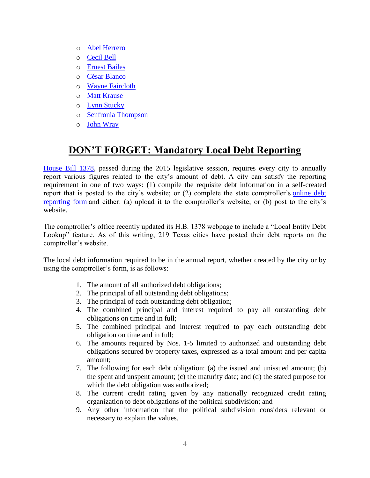- o [Abel Herrero](http://www.house.state.tx.us/members/member-page/?district=34)
- o [Cecil Bell](http://www.house.state.tx.us/members/member-page/?district=3)
- o [Ernest Bailes](http://www.house.state.tx.us/members/member-page/?district=18)
- o [César Blanco](http://www.house.state.tx.us/members/member-page/?district=76)
- o [Wayne Faircloth](http://www.house.state.tx.us/members/member-page/?district=23)
- o [Matt Krause](http://www.house.state.tx.us/members/member-page/?district=93)
- o [Lynn Stucky](http://www.house.state.tx.us/members/member-page/?district=64)
- o [Senfronia Thompson](http://www.house.state.tx.us/members/member-page/?district=141)
- o [John Wray](http://www.house.state.tx.us/members/member-page/?district=10)

# **DON'T FORGET: Mandatory Local Debt Reporting**

[House Bill 1378,](http://www.legis.state.tx.us/tlodocs/84R/billtext/html/HB01378F.htm) passed during the 2015 legislative session, requires every city to annually report various figures related to the city's amount of debt. A city can satisfy the reporting requirement in one of two ways: (1) compile the requisite debt information in a self-created report that is posted to the city's website; or (2) complete the state comptroller's [online debt](https://www.comptroller.texas.gov/transparency/local/hb1378/apply.php)  [reporting form](https://www.comptroller.texas.gov/transparency/local/hb1378/apply.php) and either: (a) upload it to the comptroller's website; or (b) post to the city's website.

The comptroller's office recently updated its H.B. 1378 webpage to include a "Local Entity Debt Lookup" feature. As of this writing, 219 Texas cities have posted their debt reports on the comptroller's website.

The local debt information required to be in the annual report, whether created by the city or by using the comptroller's form, is as follows:

- 1. The amount of all authorized debt obligations;
- 2. The principal of all outstanding debt obligations;
- 3. The principal of each outstanding debt obligation;
- 4. The combined principal and interest required to pay all outstanding debt obligations on time and in full;
- 5. The combined principal and interest required to pay each outstanding debt obligation on time and in full;
- 6. The amounts required by Nos. 1-5 limited to authorized and outstanding debt obligations secured by property taxes, expressed as a total amount and per capita amount;
- 7. The following for each debt obligation: (a) the issued and unissued amount; (b) the spent and unspent amount; (c) the maturity date; and (d) the stated purpose for which the debt obligation was authorized;
- 8. The current credit rating given by any nationally recognized credit rating organization to debt obligations of the political subdivision; and
- 9. Any other information that the political subdivision considers relevant or necessary to explain the values.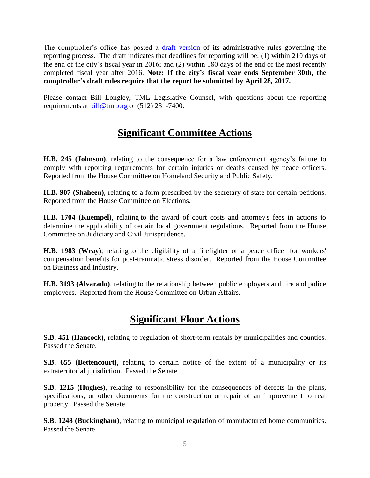The comptroller's office has posted a [draft version](https://www.comptroller.texas.gov/transparency/local/hb1378/docs/hb1378-draft-rules.pdf) of its administrative rules governing the reporting process. The draft indicates that deadlines for reporting will be: (1) within 210 days of the end of the city's fiscal year in 2016; and (2) within 180 days of the end of the most recently completed fiscal year after 2016. **Note: If the city's fiscal year ends September 30th, the comptroller's draft rules require that the report be submitted by April 28, 2017.**

Please contact Bill Longley, TML Legislative Counsel, with questions about the reporting requirements at [bill@tml.org](mailto:bill@tml.org) or (512) 231-7400.

### **Significant Committee Actions**

**H.B. 245 (Johnson)**, relating to the consequence for a law enforcement agency's failure to comply with reporting requirements for certain injuries or deaths caused by peace officers. Reported from the House Committee on Homeland Security and Public Safety.

**H.B. 907 (Shaheen)**, relating to a form prescribed by the secretary of state for certain petitions. Reported from the House Committee on Elections.

**H.B. 1704 (Kuempel)**, relating to the award of court costs and attorney's fees in actions to determine the applicability of certain local government regulations. Reported from the House Committee on Judiciary and Civil Jurisprudence.

**H.B. 1983 (Wray)**, relating to the eligibility of a firefighter or a peace officer for workers' compensation benefits for post-traumatic stress disorder. Reported from the House Committee on Business and Industry.

**H.B. 3193 (Alvarado)**, relating to the relationship between public employers and fire and police employees. Reported from the House Committee on Urban Affairs.

## **Significant Floor Actions**

**S.B. 451 (Hancock)**, relating to regulation of short-term rentals by municipalities and counties. Passed the Senate.

**S.B. 655 (Bettencourt)**, relating to certain notice of the extent of a municipality or its extraterritorial jurisdiction. Passed the Senate.

**S.B. 1215 (Hughes)**, relating to responsibility for the consequences of defects in the plans, specifications, or other documents for the construction or repair of an improvement to real property. Passed the Senate.

**S.B. 1248 (Buckingham)**, relating to municipal regulation of manufactured home communities. Passed the Senate.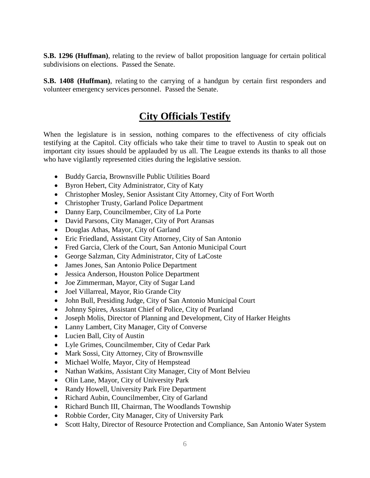**S.B. 1296 (Huffman)**, relating to the review of ballot proposition language for certain political subdivisions on elections. Passed the Senate.

**S.B. 1408 (Huffman)**, relating to the carrying of a handgun by certain first responders and volunteer emergency services personnel. Passed the Senate.

#### **City Officials Testify**

When the legislature is in session, nothing compares to the effectiveness of city officials testifying at the Capitol. City officials who take their time to travel to Austin to speak out on important city issues should be applauded by us all. The League extends its thanks to all those who have vigilantly represented cities during the legislative session.

- Buddy Garcia, Brownsville Public Utilities Board
- Byron Hebert, City Administrator, City of Katy
- Christopher Mosley, Senior Assistant City Attorney, City of Fort Worth
- Christopher Trusty, Garland Police Department
- Danny Earp, Councilmember, City of La Porte
- David Parsons, City Manager, City of Port Aransas
- Douglas Athas, Mayor, City of Garland
- Eric Friedland, Assistant City Attorney, City of San Antonio
- Fred Garcia, Clerk of the Court, San Antonio Municipal Court
- George Salzman, City Administrator, City of LaCoste
- James Jones, San Antonio Police Department
- Jessica Anderson, Houston Police Department
- Joe Zimmerman, Mayor, City of Sugar Land
- Joel Villarreal, Mayor, Rio Grande City
- John Bull, Presiding Judge, City of San Antonio Municipal Court
- Johnny Spires, Assistant Chief of Police, City of Pearland
- Joseph Molis, Director of Planning and Development, City of Harker Heights
- Lanny Lambert, City Manager, City of Converse
- Lucien Ball, City of Austin
- Lyle Grimes, Councilmember, City of Cedar Park
- Mark Sossi, City Attorney, City of Brownsville
- Michael Wolfe, Mayor, City of Hempstead
- Nathan Watkins, Assistant City Manager, City of Mont Belvieu
- Olin Lane, Mayor, City of University Park
- Randy Howell, University Park Fire Department
- Richard Aubin, Councilmember, City of Garland
- Richard Bunch III, Chairman, The Woodlands Township
- Robbie Corder, City Manager, City of University Park
- Scott Halty, Director of Resource Protection and Compliance, San Antonio Water System